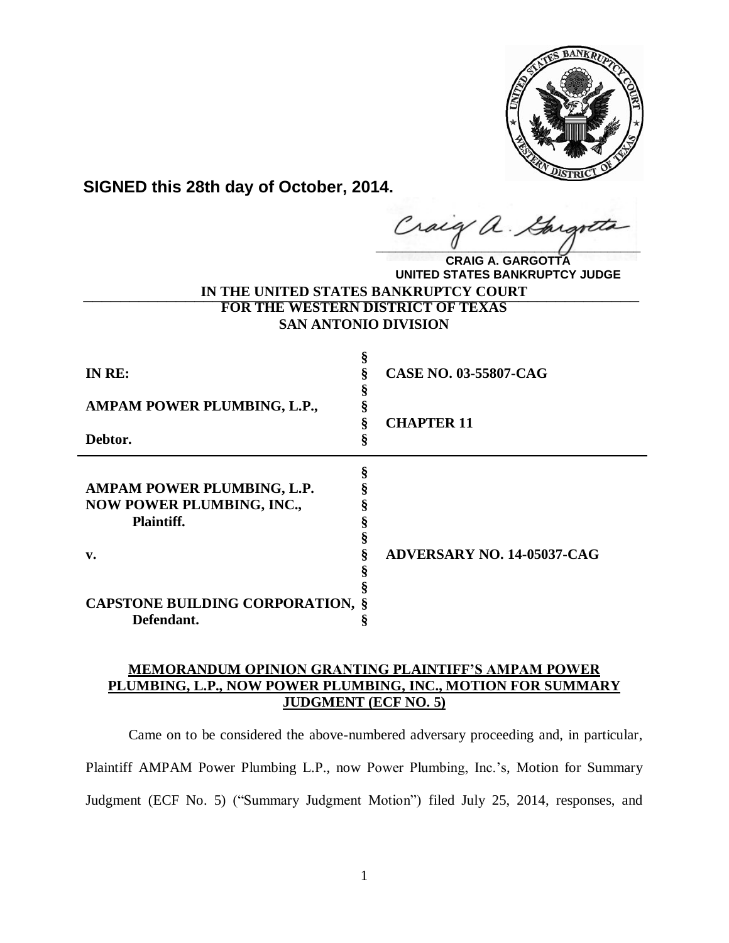

**SIGNED this 28th day of October, 2014.**

**\_\_\_\_\_\_\_\_\_\_\_\_\_\_\_\_\_\_\_\_\_\_\_\_\_\_\_\_\_\_\_\_\_\_\_\_\_\_\_\_** u

**IN THE UNITED STATES BANKRUPTCY COURT \_\_\_\_\_\_\_\_\_\_\_\_\_\_\_\_\_\_\_\_\_\_\_\_\_\_\_\_\_\_\_\_\_\_\_\_\_\_\_\_\_\_\_\_\_\_\_\_\_\_\_\_\_\_\_\_\_\_\_\_FOR THE WESTERN DISTRICT OF TEXAS SAN ANTONIO DIVISION CRAIG A. GARGOTTA UNITED STATES BANKRUPTCY JUDGE**

| IN RE:                                                                       | 8 | <b>CASE NO. 03-55807-CAG</b>      |
|------------------------------------------------------------------------------|---|-----------------------------------|
| AMPAM POWER PLUMBING, L.P.,                                                  |   |                                   |
| Debtor.                                                                      |   | <b>CHAPTER 11</b>                 |
| AMPAM POWER PLUMBING, L.P.<br><b>NOW POWER PLUMBING, INC.,</b><br>Plaintiff. |   |                                   |
| $\mathbf{v}$ .                                                               |   | <b>ADVERSARY NO. 14-05037-CAG</b> |
| <b>CAPSTONE BUILDING CORPORATION, §</b><br>Defendant.                        |   |                                   |

# **MEMORANDUM OPINION GRANTING PLAINTIFF'S AMPAM POWER PLUMBING, L.P., NOW POWER PLUMBING, INC., MOTION FOR SUMMARY JUDGMENT (ECF NO. 5)**

Came on to be considered the above-numbered adversary proceeding and, in particular, Plaintiff AMPAM Power Plumbing L.P., now Power Plumbing, Inc.'s, Motion for Summary Judgment (ECF No. 5) ("Summary Judgment Motion") filed July 25, 2014, responses, and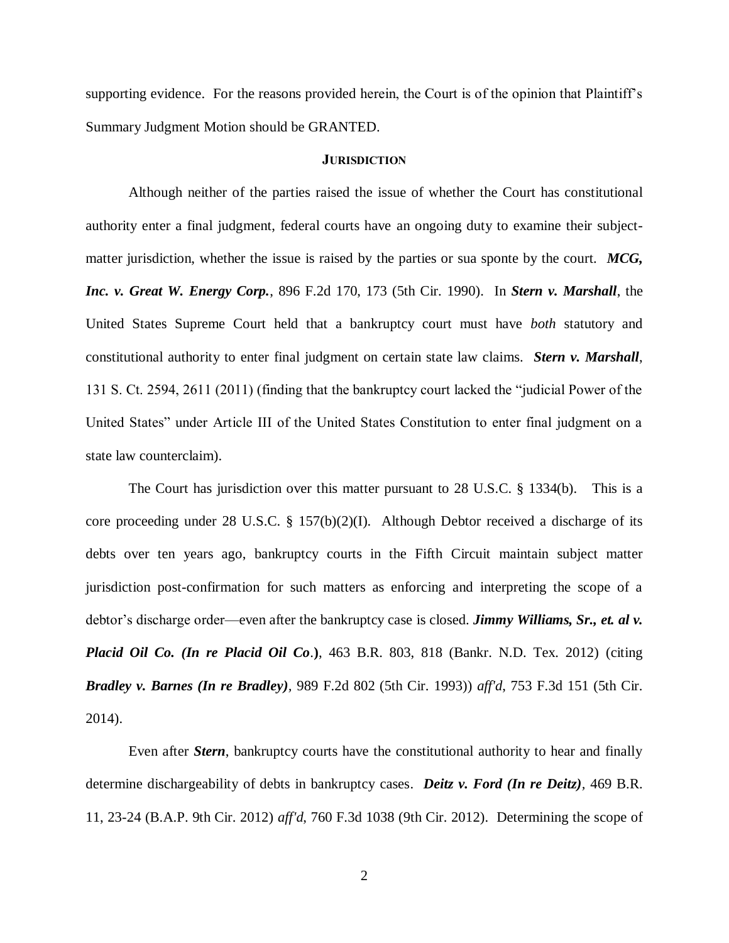supporting evidence. For the reasons provided herein, the Court is of the opinion that Plaintiff's Summary Judgment Motion should be GRANTED.

#### **JURISDICTION**

Although neither of the parties raised the issue of whether the Court has constitutional authority enter a final judgment, federal courts have an ongoing duty to examine their subjectmatter jurisdiction, whether the issue is raised by the parties or sua sponte by the court. *MCG, Inc. v. Great W. Energy Corp.*, 896 F.2d 170, 173 (5th Cir. 1990). In *Stern v. Marshall*, the United States Supreme Court held that a bankruptcy court must have *both* statutory and constitutional authority to enter final judgment on certain state law claims. *Stern v. Marshall*, 131 S. Ct. 2594, 2611 (2011) (finding that the bankruptcy court lacked the "judicial Power of the United States" under Article III of the United States Constitution to enter final judgment on a state law counterclaim).

The Court has jurisdiction over this matter pursuant to 28 U.S.C. § 1334(b). This is a core proceeding under 28 U.S.C. § 157(b)(2)(I). Although Debtor received a discharge of its debts over ten years ago, bankruptcy courts in the Fifth Circuit maintain subject matter jurisdiction post-confirmation for such matters as enforcing and interpreting the scope of a debtor's discharge order—even after the bankruptcy case is closed. *Jimmy Williams, Sr., et. al v. Placid Oil Co. (In re Placid Oil Co*.**)**, 463 B.R. 803, 818 (Bankr. N.D. Tex. 2012) (citing *Bradley v. Barnes (In re Bradley),* 989 F.2d 802 (5th Cir. 1993)) *aff'd*, 753 F.3d 151 (5th Cir. 2014).

Even after *Stern*, bankruptcy courts have the constitutional authority to hear and finally determine dischargeability of debts in bankruptcy cases. *Deitz v. Ford (In re Deitz),* 469 B.R. 11, 23-24 (B.A.P. 9th Cir. 2012) *aff'd*, 760 F.3d 1038 (9th Cir. 2012). Determining the scope of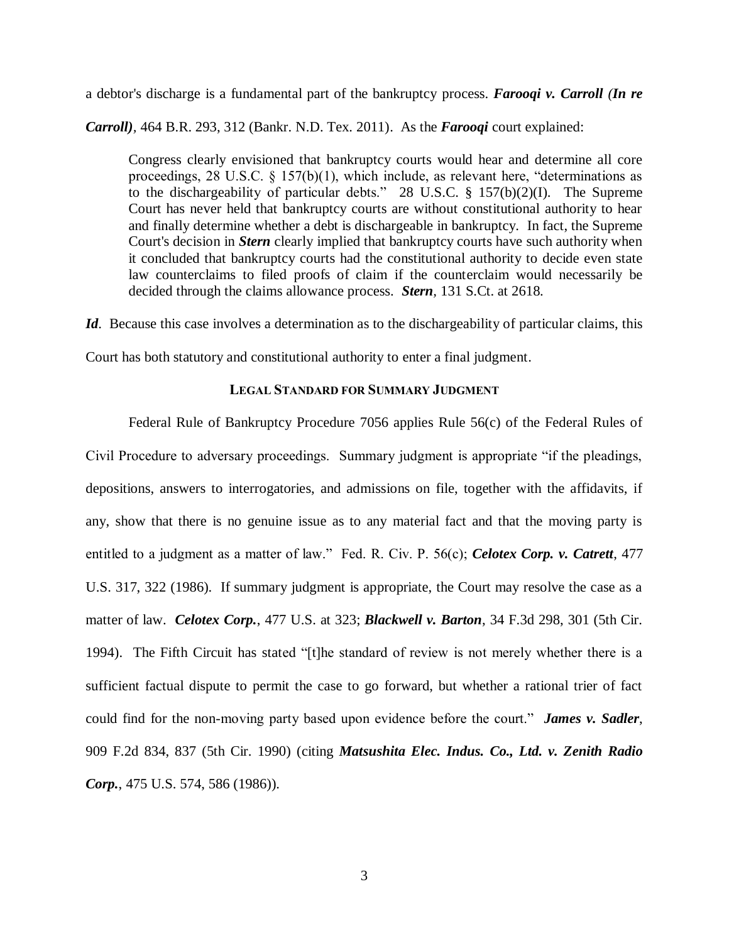a debtor's discharge is a fundamental part of the bankruptcy process. *Farooqi v. Carroll (In re* 

*Carroll),* 464 B.R. 293, 312 (Bankr. N.D. Tex. 2011). As the *Farooqi* court explained:

Congress clearly envisioned that bankruptcy courts would hear and determine all core proceedings, 28 U.S.C. § 157(b)(1), which include, as relevant here, "determinations as to the dischargeability of particular debts." 28 U.S.C. § 157(b)(2)(I). The Supreme Court has never held that bankruptcy courts are without constitutional authority to hear and finally determine whether a debt is dischargeable in bankruptcy. In fact, the Supreme Court's decision in *Stern* clearly implied that bankruptcy courts have such authority when it concluded that bankruptcy courts had the constitutional authority to decide even state law counterclaims to filed proofs of claim if the counterclaim would necessarily be decided through the claims allowance process. *Stern,* 131 S.Ct. at 2618.

*Id.* Because this case involves a determination as to the dischargeability of particular claims, this

Court has both statutory and constitutional authority to enter a final judgment.

## **LEGAL STANDARD FOR SUMMARY JUDGMENT**

Federal Rule of Bankruptcy Procedure 7056 applies Rule 56(c) of the Federal Rules of Civil Procedure to adversary proceedings. Summary judgment is appropriate "if the pleadings, depositions, answers to interrogatories, and admissions on file, together with the affidavits, if any, show that there is no genuine issue as to any material fact and that the moving party is entitled to a judgment as a matter of law." Fed. R. Civ. P. 56(c); *Celotex Corp. v. Catrett*, 477 U.S. 317, 322 (1986). If summary judgment is appropriate, the Court may resolve the case as a matter of law. *Celotex Corp.*, 477 U.S. at 323; *Blackwell v. Barton*, 34 F.3d 298, 301 (5th Cir. 1994). The Fifth Circuit has stated "[t]he standard of review is not merely whether there is a sufficient factual dispute to permit the case to go forward, but whether a rational trier of fact could find for the non-moving party based upon evidence before the court." *James v. Sadler*, 909 F.2d 834, 837 (5th Cir. 1990) (citing *Matsushita Elec. Indus. Co., Ltd. v. Zenith Radio Corp.*, 475 U.S. 574, 586 (1986)).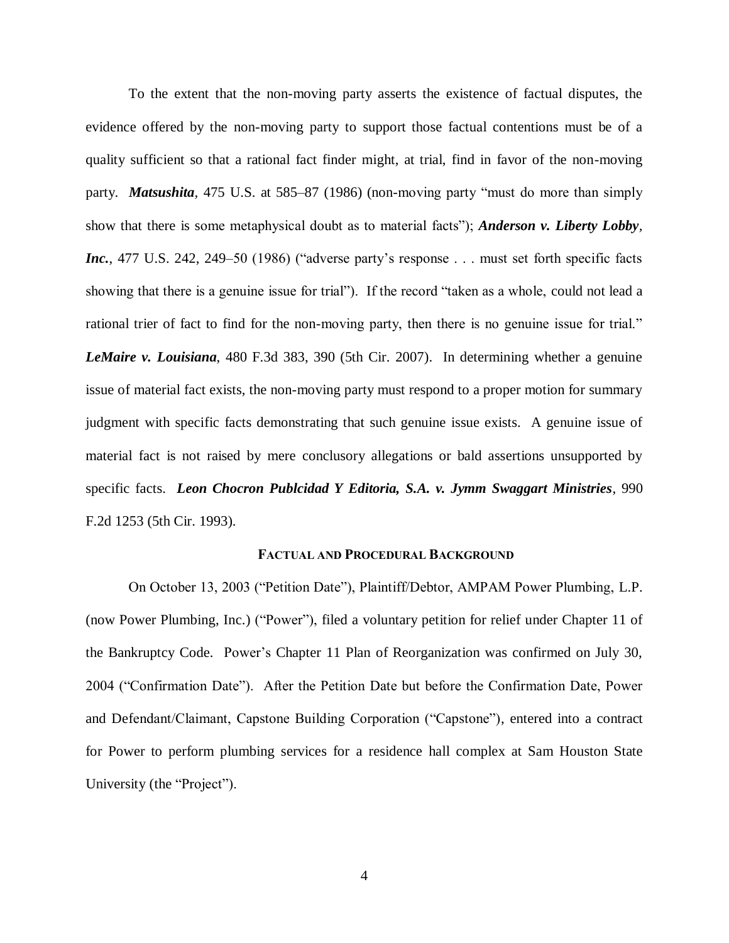To the extent that the non-moving party asserts the existence of factual disputes, the evidence offered by the non-moving party to support those factual contentions must be of a quality sufficient so that a rational fact finder might, at trial, find in favor of the non-moving party. *Matsushita,* 475 U.S. at 585–87 (1986) (non-moving party "must do more than simply show that there is some metaphysical doubt as to material facts"); *Anderson v. Liberty Lobby, Inc.*, 477 U.S. 242, 249–50 (1986) ("adverse party's response . . . must set forth specific facts showing that there is a genuine issue for trial"). If the record "taken as a whole, could not lead a rational trier of fact to find for the non-moving party, then there is no genuine issue for trial." *LeMaire v. Louisiana*, 480 F.3d 383, 390 (5th Cir. 2007). In determining whether a genuine issue of material fact exists, the non-moving party must respond to a proper motion for summary judgment with specific facts demonstrating that such genuine issue exists. A genuine issue of material fact is not raised by mere conclusory allegations or bald assertions unsupported by specific facts. *Leon Chocron Publcidad Y Editoria, S.A. v. Jymm Swaggart Ministries*, 990 F.2d 1253 (5th Cir. 1993).

### **FACTUAL AND PROCEDURAL BACKGROUND**

On October 13, 2003 ("Petition Date"), Plaintiff/Debtor, AMPAM Power Plumbing, L.P. (now Power Plumbing, Inc.) ("Power"), filed a voluntary petition for relief under Chapter 11 of the Bankruptcy Code. Power's Chapter 11 Plan of Reorganization was confirmed on July 30, 2004 ("Confirmation Date"). After the Petition Date but before the Confirmation Date, Power and Defendant/Claimant, Capstone Building Corporation ("Capstone"), entered into a contract for Power to perform plumbing services for a residence hall complex at Sam Houston State University (the "Project").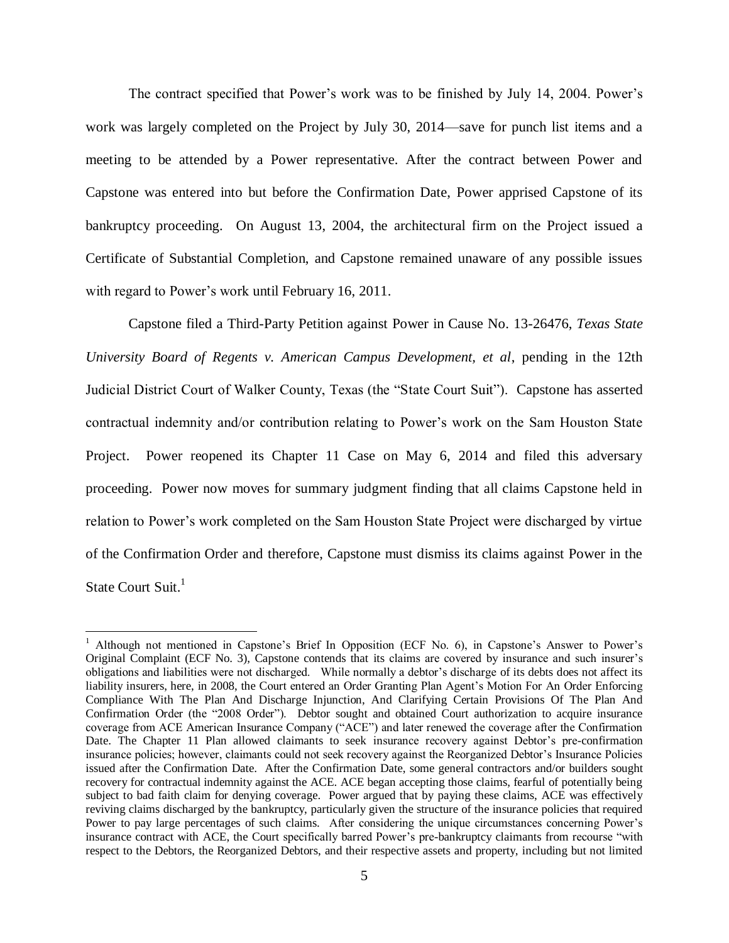The contract specified that Power's work was to be finished by July 14, 2004. Power's work was largely completed on the Project by July 30, 2014—save for punch list items and a meeting to be attended by a Power representative. After the contract between Power and Capstone was entered into but before the Confirmation Date, Power apprised Capstone of its bankruptcy proceeding. On August 13, 2004, the architectural firm on the Project issued a Certificate of Substantial Completion, and Capstone remained unaware of any possible issues with regard to Power's work until February 16, 2011.

Capstone filed a Third-Party Petition against Power in Cause No. 13-26476, *Texas State University Board of Regents v. American Campus Development, et al*, pending in the 12th Judicial District Court of Walker County, Texas (the "State Court Suit"). Capstone has asserted contractual indemnity and/or contribution relating to Power's work on the Sam Houston State Project. Power reopened its Chapter 11 Case on May 6, 2014 and filed this adversary proceeding. Power now moves for summary judgment finding that all claims Capstone held in relation to Power's work completed on the Sam Houston State Project were discharged by virtue of the Confirmation Order and therefore, Capstone must dismiss its claims against Power in the State Court Suit.<sup>1</sup>

 $\overline{a}$ 

<sup>&</sup>lt;sup>1</sup> Although not mentioned in Capstone's Brief In Opposition (ECF No. 6), in Capstone's Answer to Power's Original Complaint (ECF No. 3), Capstone contends that its claims are covered by insurance and such insurer's obligations and liabilities were not discharged. While normally a debtor's discharge of its debts does not affect its liability insurers, here, in 2008, the Court entered an Order Granting Plan Agent's Motion For An Order Enforcing Compliance With The Plan And Discharge Injunction, And Clarifying Certain Provisions Of The Plan And Confirmation Order (the "2008 Order"). Debtor sought and obtained Court authorization to acquire insurance coverage from ACE American Insurance Company ("ACE") and later renewed the coverage after the Confirmation Date. The Chapter 11 Plan allowed claimants to seek insurance recovery against Debtor's pre-confirmation insurance policies; however, claimants could not seek recovery against the Reorganized Debtor's Insurance Policies issued after the Confirmation Date. After the Confirmation Date, some general contractors and/or builders sought recovery for contractual indemnity against the ACE. ACE began accepting those claims, fearful of potentially being subject to bad faith claim for denying coverage. Power argued that by paying these claims, ACE was effectively reviving claims discharged by the bankruptcy, particularly given the structure of the insurance policies that required Power to pay large percentages of such claims. After considering the unique circumstances concerning Power's insurance contract with ACE, the Court specifically barred Power's pre-bankruptcy claimants from recourse "with respect to the Debtors, the Reorganized Debtors, and their respective assets and property, including but not limited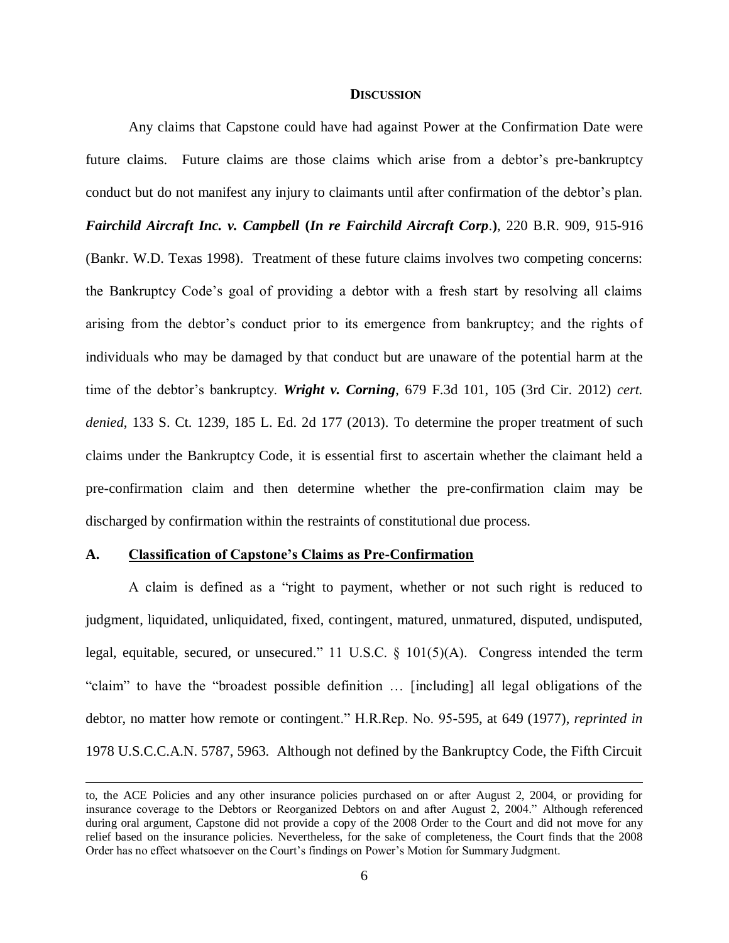#### **DISCUSSION**

Any claims that Capstone could have had against Power at the Confirmation Date were future claims. Future claims are those claims which arise from a debtor's pre-bankruptcy conduct but do not manifest any injury to claimants until after confirmation of the debtor's plan. *Fairchild Aircraft Inc. v. Campbell* **(***In re Fairchild Aircraft Corp*.**)**, 220 B.R. 909, 915-916 (Bankr. W.D. Texas 1998). Treatment of these future claims involves two competing concerns: the Bankruptcy Code's goal of providing a debtor with a fresh start by resolving all claims arising from the debtor's conduct prior to its emergence from bankruptcy; and the rights of individuals who may be damaged by that conduct but are unaware of the potential harm at the time of the debtor's bankruptcy. *Wright v. Corning*, 679 F.3d 101, 105 (3rd Cir. 2012) *cert. denied*, 133 S. Ct. 1239, 185 L. Ed. 2d 177 (2013). To determine the proper treatment of such claims under the Bankruptcy Code, it is essential first to ascertain whether the claimant held a pre-confirmation claim and then determine whether the pre-confirmation claim may be discharged by confirmation within the restraints of constitutional due process.

### **A. Classification of Capstone's Claims as Pre-Confirmation**

 $\overline{a}$ 

A claim is defined as a "right to payment, whether or not such right is reduced to judgment, liquidated, unliquidated, fixed, contingent, matured, unmatured, disputed, undisputed, legal, equitable, secured, or unsecured." 11 U.S.C. § 101(5)(A). Congress intended the term "claim" to have the "broadest possible definition … [including] all legal obligations of the debtor, no matter how remote or contingent." H.R.Rep. No. 95-595, at 649 (1977), *reprinted in* 1978 U.S.C.C.A.N. 5787, 5963. Although not defined by the Bankruptcy Code, the Fifth Circuit

to, the ACE Policies and any other insurance policies purchased on or after August 2, 2004, or providing for insurance coverage to the Debtors or Reorganized Debtors on and after August 2, 2004." Although referenced during oral argument, Capstone did not provide a copy of the 2008 Order to the Court and did not move for any relief based on the insurance policies. Nevertheless, for the sake of completeness, the Court finds that the 2008 Order has no effect whatsoever on the Court's findings on Power's Motion for Summary Judgment.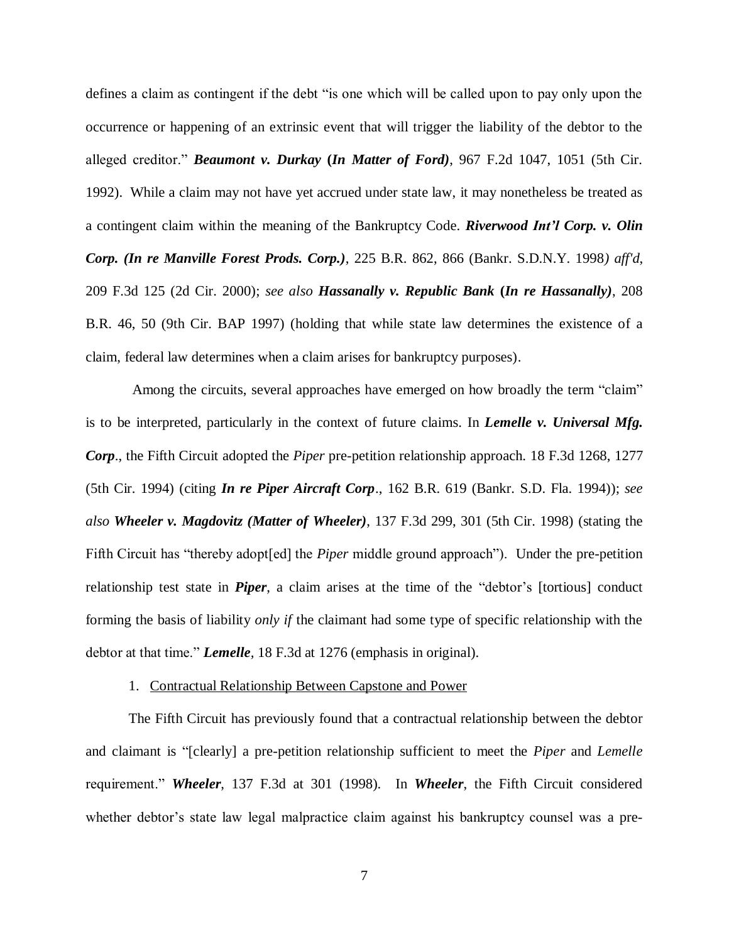defines a claim as contingent if the debt "is one which will be called upon to pay only upon the occurrence or happening of an extrinsic event that will trigger the liability of the debtor to the alleged creditor." *Beaumont v. Durkay* **(***In Matter of Ford)*, 967 F.2d 1047, 1051 (5th Cir. 1992). While a claim may not have yet accrued under state law, it may nonetheless be treated as a contingent claim within the meaning of the Bankruptcy Code. *Riverwood Int'l Corp. v. Olin Corp. (In re Manville Forest Prods. Corp.)*, 225 B.R. 862, 866 (Bankr. S.D.N.Y. 1998*) aff'd*, 209 F.3d 125 (2d Cir. 2000); *see also Hassanally v. Republic Bank* **(***In re Hassanally)*, 208 B.R. 46, 50 (9th Cir. BAP 1997) (holding that while state law determines the existence of a claim, federal law determines when a claim arises for bankruptcy purposes).

Among the circuits, several approaches have emerged on how broadly the term "claim" is to be interpreted, particularly in the context of future claims. In *Lemelle v. Universal Mfg. Corp*., the Fifth Circuit adopted the *Piper* pre-petition relationship approach. 18 F.3d 1268, 1277 (5th Cir. 1994) (citing *In re Piper Aircraft Corp*., 162 B.R. 619 (Bankr. S.D. Fla. 1994)); *see also Wheeler v. Magdovitz (Matter of Wheeler)*, 137 F.3d 299, 301 (5th Cir. 1998) (stating the Fifth Circuit has "thereby adopt[ed] the *Piper* middle ground approach"). Under the pre-petition relationship test state in *Piper*, a claim arises at the time of the "debtor's [tortious] conduct forming the basis of liability *only if* the claimant had some type of specific relationship with the debtor at that time." *Lemelle,* 18 F.3d at 1276 (emphasis in original).

#### 1. Contractual Relationship Between Capstone and Power

The Fifth Circuit has previously found that a contractual relationship between the debtor and claimant is "[clearly] a pre-petition relationship sufficient to meet the *Piper* and *Lemelle* requirement." *Wheeler*, 137 F.3d at 301 (1998). In *Wheeler*, the Fifth Circuit considered whether debtor's state law legal malpractice claim against his bankruptcy counsel was a pre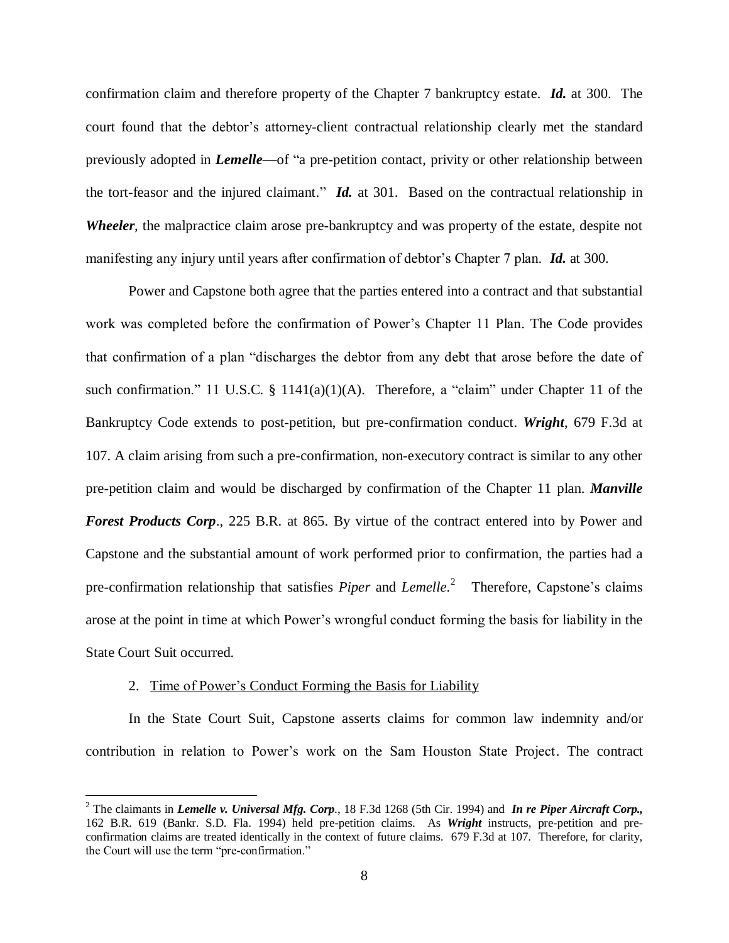confirmation claim and therefore property of the Chapter 7 bankruptcy estate. *Id.* at 300. The court found that the debtor's attorney-client contractual relationship clearly met the standard previously adopted in *Lemelle*—of "a pre-petition contact, privity or other relationship between the tort-feasor and the injured claimant." *Id.* at 301. Based on the contractual relationship in *Wheeler*, the malpractice claim arose pre-bankruptcy and was property of the estate, despite not manifesting any injury until years after confirmation of debtor's Chapter 7 plan. *Id.* at 300.

Power and Capstone both agree that the parties entered into a contract and that substantial work was completed before the confirmation of Power's Chapter 11 Plan. The Code provides that confirmation of a plan "discharges the debtor from any debt that arose before the date of such confirmation." 11 U.S.C. § 1141(a)(1)(A). Therefore, a "claim" under Chapter 11 of the Bankruptcy Code extends to post-petition, but pre-confirmation conduct. *Wright*, 679 F.3d at 107. A claim arising from such a pre-confirmation, non-executory contract is similar to any other pre-petition claim and would be discharged by confirmation of the Chapter 11 plan. *Manville Forest Products Corp*., 225 B.R. at 865. By virtue of the contract entered into by Power and Capstone and the substantial amount of work performed prior to confirmation, the parties had a pre-confirmation relationship that satisfies *Piper* and *Lemelle*. 2 Therefore, Capstone's claims arose at the point in time at which Power's wrongful conduct forming the basis for liability in the State Court Suit occurred.

### 2. Time of Power's Conduct Forming the Basis for Liability

 $\overline{a}$ 

In the State Court Suit, Capstone asserts claims for common law indemnity and/or contribution in relation to Power's work on the Sam Houston State Project. The contract

<sup>2</sup> The claimants in *Lemelle v. Universal Mfg. Corp*., 18 F.3d 1268 (5th Cir. 1994) and *In re Piper Aircraft Corp.,*  162 B.R. 619 (Bankr. S.D. Fla. 1994) held pre-petition claims. As *Wright* instructs, pre-petition and preconfirmation claims are treated identically in the context of future claims. 679 F.3d at 107. Therefore, for clarity, the Court will use the term "pre-confirmation."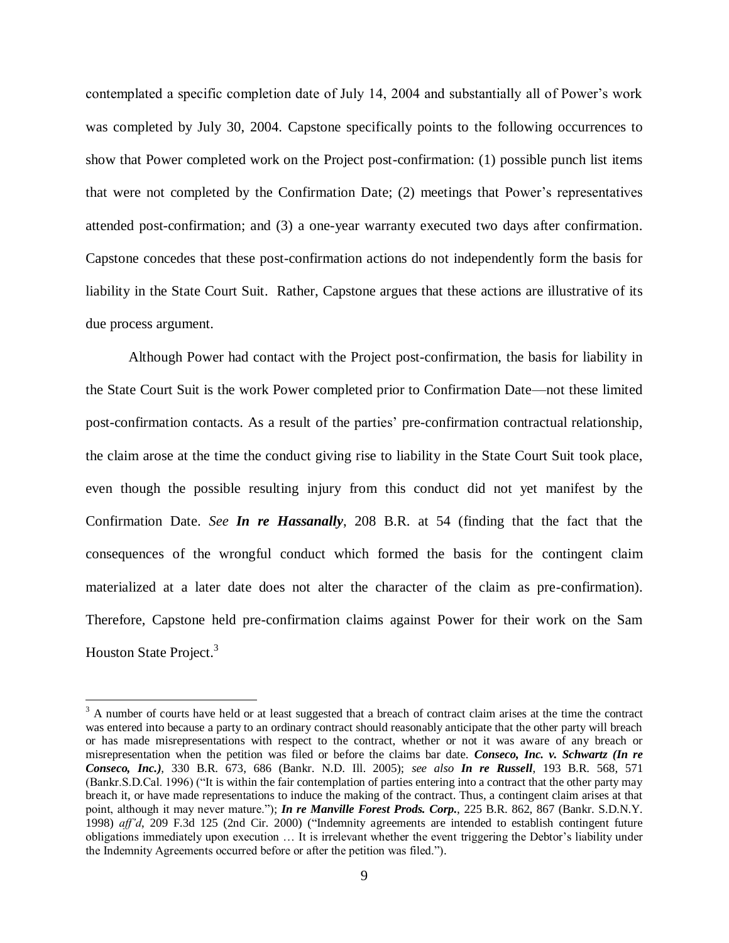contemplated a specific completion date of July 14, 2004 and substantially all of Power's work was completed by July 30, 2004. Capstone specifically points to the following occurrences to show that Power completed work on the Project post-confirmation: (1) possible punch list items that were not completed by the Confirmation Date; (2) meetings that Power's representatives attended post-confirmation; and (3) a one-year warranty executed two days after confirmation. Capstone concedes that these post-confirmation actions do not independently form the basis for liability in the State Court Suit. Rather, Capstone argues that these actions are illustrative of its due process argument.

Although Power had contact with the Project post-confirmation, the basis for liability in the State Court Suit is the work Power completed prior to Confirmation Date—not these limited post-confirmation contacts. As a result of the parties' pre-confirmation contractual relationship, the claim arose at the time the conduct giving rise to liability in the State Court Suit took place, even though the possible resulting injury from this conduct did not yet manifest by the Confirmation Date. *See In re Hassanally*, 208 B.R. at 54 (finding that the fact that the consequences of the wrongful conduct which formed the basis for the contingent claim materialized at a later date does not alter the character of the claim as pre-confirmation). Therefore, Capstone held pre-confirmation claims against Power for their work on the Sam Houston State Project.<sup>3</sup>

 $\overline{a}$ 

 $3$  A number of courts have held or at least suggested that a breach of contract claim arises at the time the contract was entered into because a party to an ordinary contract should reasonably anticipate that the other party will breach or has made misrepresentations with respect to the contract, whether or not it was aware of any breach or misrepresentation when the petition was filed or before the claims bar date. *Conseco, Inc. v. Schwartz (In re Conseco, Inc.)*, 330 B.R. 673, 686 (Bankr. N.D. Ill. 2005); *see also In re Russell*, 193 B.R. 568, 571 (Bankr.S.D.Cal. 1996) ("It is within the fair contemplation of parties entering into a contract that the other party may breach it, or have made representations to induce the making of the contract. Thus, a contingent claim arises at that point, although it may never mature."); *In re Manville Forest Prods. Corp.*, 225 B.R. 862, 867 (Bankr. S.D.N.Y. 1998) *aff'd*, 209 F.3d 125 (2nd Cir. 2000) ("Indemnity agreements are intended to establish contingent future obligations immediately upon execution … It is irrelevant whether the event triggering the Debtor's liability under the Indemnity Agreements occurred before or after the petition was filed.").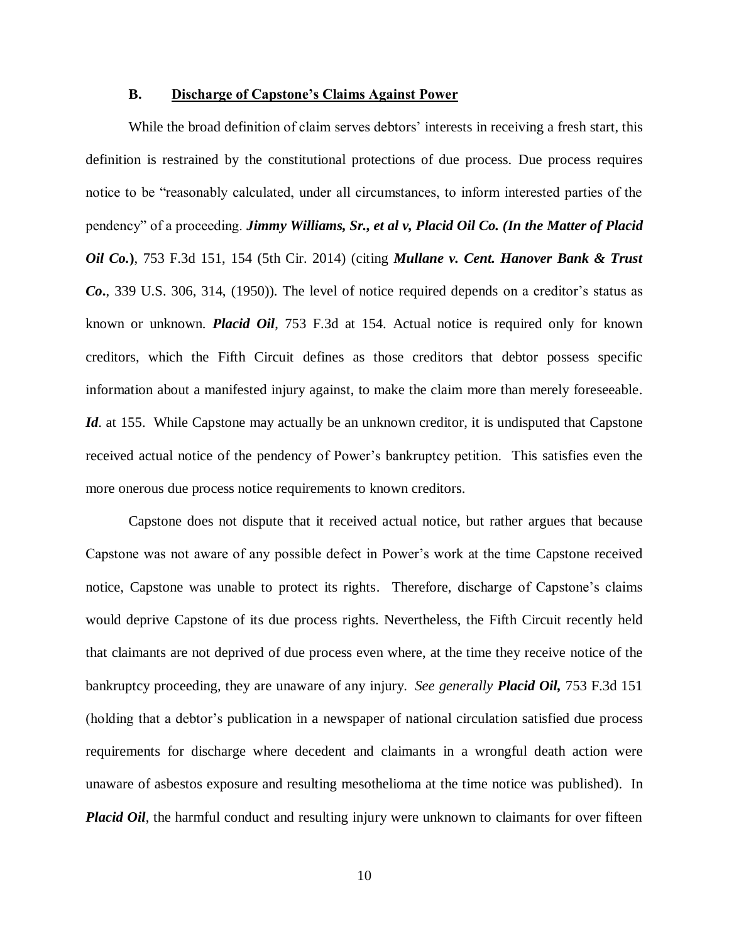## **B. Discharge of Capstone's Claims Against Power**

While the broad definition of claim serves debtors' interests in receiving a fresh start, this definition is restrained by the constitutional protections of due process. Due process requires notice to be "reasonably calculated, under all circumstances, to inform interested parties of the pendency" of a proceeding. *Jimmy Williams, Sr., et al v, Placid Oil Co. (In the Matter of Placid Oil Co.***)**, 753 F.3d 151, 154 (5th Cir. 2014) (citing *Mullane v. Cent. Hanover Bank & Trust Co***.**, 339 U.S. 306, 314, (1950)). The level of notice required depends on a creditor's status as known or unknown. *Placid Oil*, 753 F.3d at 154. Actual notice is required only for known creditors, which the Fifth Circuit defines as those creditors that debtor possess specific information about a manifested injury against, to make the claim more than merely foreseeable. *Id.* at 155. While Capstone may actually be an unknown creditor, it is undisputed that Capstone received actual notice of the pendency of Power's bankruptcy petition. This satisfies even the more onerous due process notice requirements to known creditors.

Capstone does not dispute that it received actual notice, but rather argues that because Capstone was not aware of any possible defect in Power's work at the time Capstone received notice, Capstone was unable to protect its rights. Therefore, discharge of Capstone's claims would deprive Capstone of its due process rights. Nevertheless, the Fifth Circuit recently held that claimants are not deprived of due process even where, at the time they receive notice of the bankruptcy proceeding, they are unaware of any injury. *See generally Placid Oil,* 753 F.3d 151 (holding that a debtor's publication in a newspaper of national circulation satisfied due process requirements for discharge where decedent and claimants in a wrongful death action were unaware of asbestos exposure and resulting mesothelioma at the time notice was published). In *Placid Oil*, the harmful conduct and resulting injury were unknown to claimants for over fifteen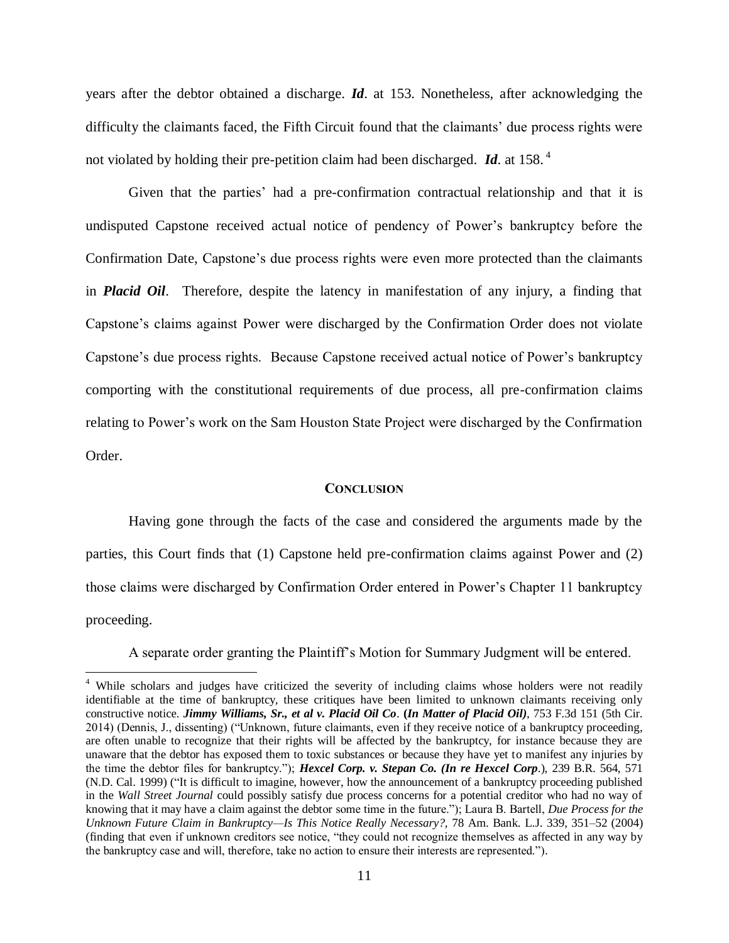years after the debtor obtained a discharge. *Id*. at 153. Nonetheless, after acknowledging the difficulty the claimants faced, the Fifth Circuit found that the claimants' due process rights were not violated by holding their pre-petition claim had been discharged. *Id*. at 158. <sup>4</sup>

Given that the parties' had a pre-confirmation contractual relationship and that it is undisputed Capstone received actual notice of pendency of Power's bankruptcy before the Confirmation Date, Capstone's due process rights were even more protected than the claimants in *Placid Oil*. Therefore, despite the latency in manifestation of any injury, a finding that Capstone's claims against Power were discharged by the Confirmation Order does not violate Capstone's due process rights. Because Capstone received actual notice of Power's bankruptcy comporting with the constitutional requirements of due process, all pre-confirmation claims relating to Power's work on the Sam Houston State Project were discharged by the Confirmation Order.

#### **CONCLUSION**

Having gone through the facts of the case and considered the arguments made by the parties, this Court finds that (1) Capstone held pre-confirmation claims against Power and (2) those claims were discharged by Confirmation Order entered in Power's Chapter 11 bankruptcy proceeding.

A separate order granting the Plaintiff's Motion for Summary Judgment will be entered.

 $\overline{a}$ 

<sup>&</sup>lt;sup>4</sup> While scholars and judges have criticized the severity of including claims whose holders were not readily identifiable at the time of bankruptcy, these critiques have been limited to unknown claimants receiving only constructive notice*. Jimmy Williams, Sr., et al v. Placid Oil Co*. **(***In Matter of Placid Oil)*, 753 F.3d 151 (5th Cir. 2014) (Dennis, J., dissenting) ("Unknown, future claimants, even if they receive notice of a bankruptcy proceeding, are often unable to recognize that their rights will be affected by the bankruptcy, for instance because they are unaware that the debtor has exposed them to toxic substances or because they have yet to manifest any injuries by the time the debtor files for bankruptcy."); *Hexcel Corp. v. Stepan Co. (In re Hexcel Corp*.), 239 B.R. 564, 571 (N.D. Cal. 1999) ("It is difficult to imagine, however, how the announcement of a bankruptcy proceeding published in the *Wall Street Journal* could possibly satisfy due process concerns for a potential creditor who had no way of knowing that it may have a claim against the debtor some time in the future."); Laura B. Bartell, *Due Process for the Unknown Future Claim in Bankruptcy—Is This Notice Really Necessary?*, 78 Am. Bank. L.J. 339, 351–52 (2004) (finding that even if unknown creditors see notice, "they could not recognize themselves as affected in any way by the bankruptcy case and will, therefore, take no action to ensure their interests are represented.").